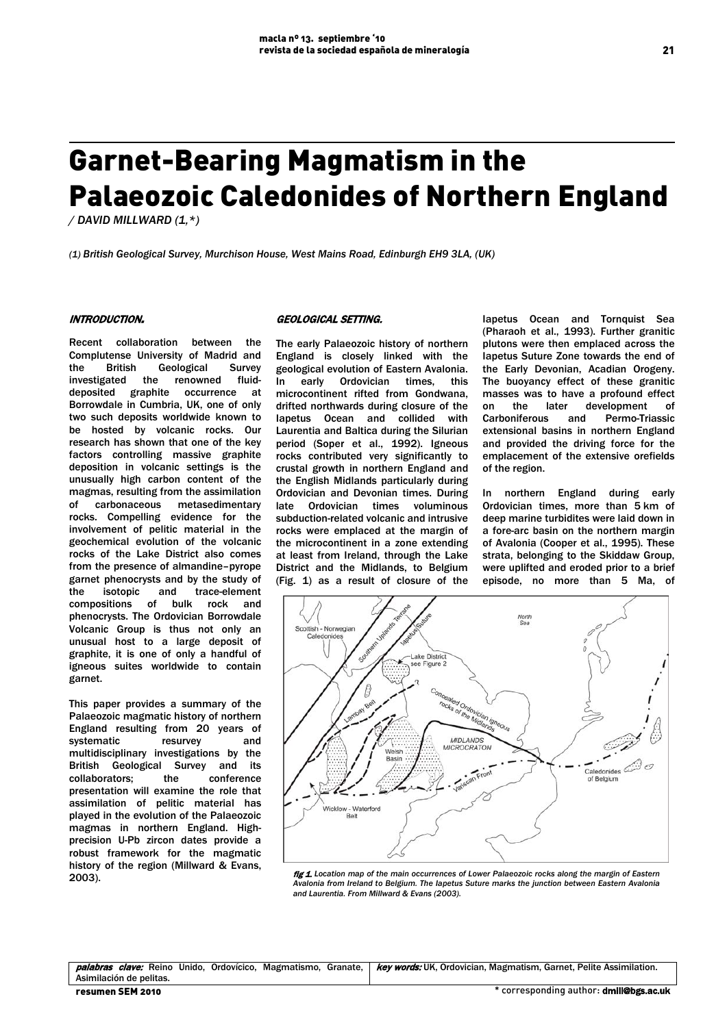# Garnet-Bearing Magmatism in the Palaeozoic Caledonides of Northern England

*/ DAVID MILLWARD (1,\*)*

*(1) British Geological Survey, Murchison House, West Mains Road, Edinburgh EH9 3LA, (UK)*

#### INTRODUCTION.

Recent collaboration between the Complutense University of Madrid and the British Geological Survey investigated the renowned fluiddeposited graphite occurrence at Borrowdale in Cumbria, UK, one of only two such deposits worldwide known to be hosted by volcanic rocks. Our research has shown that one of the key factors controlling massive graphite deposition in volcanic settings is the unusually high carbon content of the magmas, resulting from the assimilation of carbonaceous metasedimentary rocks. Compelling evidence for the involvement of pelitic material in the geochemical evolution of the volcanic rocks of the Lake District also comes from the presence of almandine–pyrope garnet phenocrysts and by the study of<br>the isotopic and trace-element the isotopic and trace-element compositions of bulk rock and phenocrysts. The Ordovician Borrowdale Volcanic Group is thus not only an unusual host to a large deposit of graphite, it is one of only a handful of igneous suites worldwide to contain garnet.

This paper provides a summary of the Palaeozoic magmatic history of northern England resulting from 20 years of systematic resurvey and multidisciplinary investigations by the **British Geological Survey and its collaborators:** the conference collaborators; the presentation will examine the role that assimilation of pelitic material has played in the evolution of the Palaeozoic magmas in northern England. Highprecision U-Pb zircon dates provide a robust framework for the magmatic history of the region (Millward & Evans, 2003).

#### GEOLOGICAL SETTING.

The early Palaeozoic history of northern England is closely linked with the geological evolution of Eastern Avalonia. In early Ordovician times, this microcontinent rifted from Gondwana, drifted northwards during closure of the Iapetus Ocean and collided with Laurentia and Baltica during the Silurian period (Soper et al., 1992). Igneous rocks contributed very significantly to crustal growth in northern England and the English Midlands particularly during Ordovician and Devonian times. During late Ordovician times voluminous subduction-related volcanic and intrusive rocks were emplaced at the margin of the microcontinent in a zone extending at least from Ireland, through the Lake District and the Midlands, to Belgium (Fig. 1) as a result of closure of the Iapetus Ocean and Tornquist Sea (Pharaoh et al., 1993). Further granitic plutons were then emplaced across the Iapetus Suture Zone towards the end of the Early Devonian, Acadian Orogeny. The buoyancy effect of these granitic masses was to have a profound effect on the later development of<br>Carboniferous and Permo-Triassic Permo-Triassic extensional basins in northern England and provided the driving force for the emplacement of the extensive orefields of the region.

In northern England during early Ordovician times, more than 5 km of deep marine turbidites were laid down in a fore-arc basin on the northern margin of Avalonia (Cooper et al., 1995). These strata, belonging to the Skiddaw Group, were uplifted and eroded prior to a brief episode, no more than 5 Ma, of



fig 1. Location map of the main occurrences of Lower Palaeozoic rocks along the margin of Eastern *Avalonia from Ireland to Belgium. The Iapetus Suture marks the junction between Eastern Avalonia and Laurentia. From Millward & Evans (2003).*

| palabras<br>Magmatismo.<br>Ordovícico.<br><i>clave:</i> Reino Unido,<br>Granate. | <b>key words:</b> UK, Ordovician, Magmatism, Garnet, Pelite Assimilation. |
|----------------------------------------------------------------------------------|---------------------------------------------------------------------------|
| Asimilación de pelitas.                                                          |                                                                           |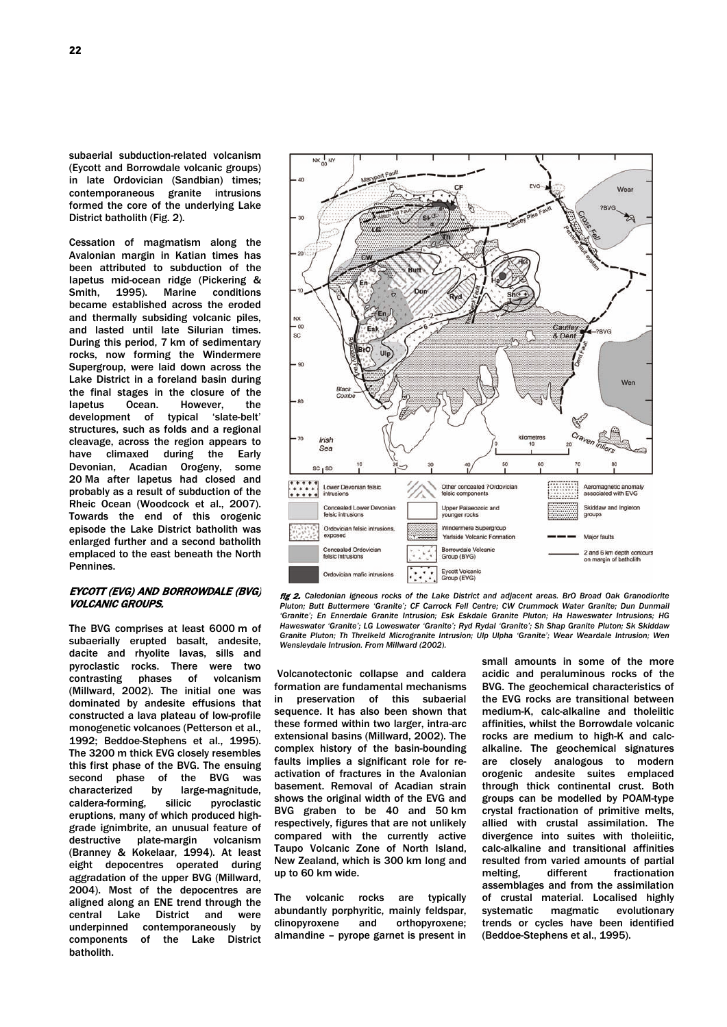subaerial subduction-related volcanism (Eycott and Borrowdale volcanic groups) in late Ordovician (Sandbian) times; contemporaneous granite intrusions formed the core of the underlying Lake District batholith (Fig. 2).

Cessation of magmatism along the Avalonian margin in Katian times has been attributed to subduction of the Iapetus mid-ocean ridge (Pickering & Smith, 1995). Marine conditions became established across the eroded and thermally subsiding volcanic piles, and lasted until late Silurian times. During this period, 7 km of sedimentary rocks, now forming the Windermere Supergroup, were laid down across the Lake District in a foreland basin during the final stages in the closure of the Iapetus Ocean. However, the development of typical 'slate-belt' structures, such as folds and a regional cleavage, across the region appears to have climaxed during the Early Devonian, Acadian Orogeny, some 20 Ma after Iapetus had closed and probably as a result of subduction of the Rheic Ocean (Woodcock et al., 2007). Towards the end of this orogenic episode the Lake District batholith was enlarged further and a second batholith emplaced to the east beneath the North **Pennines** 

## EYCOTT (EVG) AND BORROWDALE (BVG) VOLCANIC GROUPS.

The BVG comprises at least 6000 m of subaerially erupted basalt, andesite, dacite and rhyolite lavas, sills and pyroclastic rocks. There were two  $contrasting$ (Millward, 2002). The initial one was dominated by andesite effusions that constructed a lava plateau of low-profile monogenetic volcanoes (Petterson et al., 1992; Beddoe-Stephens et al., 1995). The 3200 m thick EVG closely resembles this first phase of the BVG. The ensuing second phase of the BVG was<br>characterized by large-magnitude, characterized by large-magnitude, caldera-forming, silicic pyroclastic eruptions, many of which produced highgrade ignimbrite, an unusual feature of plate-margin volcanism (Branney & Kokelaar, 1994). At least eight depocentres operated during aggradation of the upper BVG (Millward, 2004). Most of the depocentres are aligned along an ENE trend through the central Lake District and were underpinned contemporaneously by components of the Lake District batholith.



fig 2. *Caledonian igneous rocks of the Lake District and adjacent areas. BrO Broad Oak Granodiorite*  Pluton; Butt Buttermere 'Granite'; CF Carrock Fell Centre; CW Crummock Water Granite; Dun Dunmail *'Granite'; En Ennerdale Granite Intrusion; Esk Eskdale Granite Pluton; Ha Haweswater Intrusions; HG Haweswater 'Granite'; LG Loweswater 'Granite'; Ryd Rydal 'Granite'; Sh Shap Granite Pluton; Sk Skiddaw Granite Pluton; Th Threlkeld Microgranite Intrusion; Ulp Ulpha 'Granite'; Wear Weardale Intrusion; Wen Wensleydale Intrusion. From Millward (2002).*

Volcanotectonic collapse and caldera formation are fundamental mechanisms in preservation of this subaerial sequence. It has also been shown that these formed within two larger, intra-arc extensional basins (Millward, 2002). The complex history of the basin-bounding faults implies a significant role for reactivation of fractures in the Avalonian basement. Removal of Acadian strain shows the original width of the EVG and BVG graben to be 40 and 50 km respectively, figures that are not unlikely compared with the currently active Taupo Volcanic Zone of North Island, New Zealand, which is 300 km long and up to 60 km wide.

The volcanic rocks are typically abundantly porphyritic, mainly feldspar, clinopyroxene and orthopyroxene; almandine – pyrope garnet is present in small amounts in some of the more acidic and peraluminous rocks of the BVG. The geochemical characteristics of the EVG rocks are transitional between medium-K, calc-alkaline and tholeiitic affinities, whilst the Borrowdale volcanic rocks are medium to high-K and calcalkaline. The geochemical signatures are closely analogous to modern orogenic andesite suites emplaced through thick continental crust. Both groups can be modelled by POAM-type crystal fractionation of primitive melts, allied with crustal assimilation. The divergence into suites with tholeiitic, calc-alkaline and transitional affinities resulted from varied amounts of partial<br>melting, different fractionation fractionation assemblages and from the assimilation of crustal material. Localised highly systematic magmatic evolutionary trends or cycles have been identified (Beddoe-Stephens et al., 1995).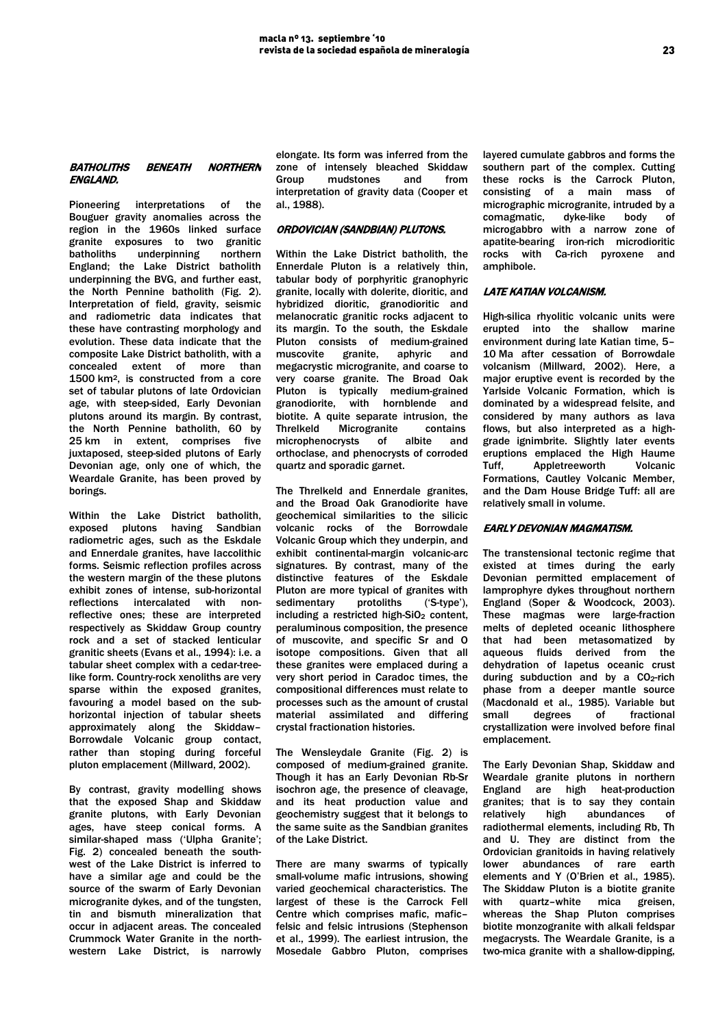## BATHOLITHS BENEATH NORTHERN ENGLAND.

Pioneering interpretations of the Bouguer gravity anomalies across the region in the 1960s linked surface granite exposures to two granitic underpinning northern England; the Lake District batholith underpinning the BVG, and further east, the North Pennine batholith (Fig. 2). Interpretation of field, gravity, seismic and radiometric data indicates that these have contrasting morphology and evolution. These data indicate that the composite Lake District batholith, with a concealed extent of more than 1500 km2, is constructed from a core set of tabular plutons of late Ordovician age, with steep-sided, Early Devonian plutons around its margin. By contrast, the North Pennine batholith, 60 by 25 km in extent, comprises five juxtaposed, steep-sided plutons of Early Devonian age, only one of which, the Weardale Granite, has been proved by borings.

Within the Lake District batholith, exposed plutons having Sandbian radiometric ages, such as the Eskdale and Ennerdale granites, have laccolithic forms. Seismic reflection profiles across the western margin of the these plutons exhibit zones of intense, sub-horizontal reflections intercalated with nonreflective ones; these are interpreted respectively as Skiddaw Group country rock and a set of stacked lenticular granitic sheets (Evans et al., 1994): i.e. a tabular sheet complex with a cedar-treelike form. Country-rock xenoliths are very sparse within the exposed granites, favouring a model based on the subhorizontal injection of tabular sheets approximately along the Skiddaw– Borrowdale Volcanic group contact, rather than stoping during forceful pluton emplacement (Millward, 2002).

By contrast, gravity modelling shows that the exposed Shap and Skiddaw granite plutons, with Early Devonian ages, have steep conical forms. A similar-shaped mass ('Ulpha Granite'; Fig. 2) concealed beneath the southwest of the Lake District is inferred to have a similar age and could be the source of the swarm of Early Devonian microgranite dykes, and of the tungsten, tin and bismuth mineralization that occur in adjacent areas. The concealed Crummock Water Granite in the northwestern Lake District, is narrowly

elongate. Its form was inferred from the zone of intensely bleached Skiddaw<br>Group mudstones and from Group mudstones and interpretation of gravity data (Cooper et al., 1988).

# ORDOVICIAN (SANDBIAN) PLUTONS.

Within the Lake District batholith, the Ennerdale Pluton is a relatively thin, tabular body of porphyritic granophyric granite, locally with dolerite, dioritic, and hybridized dioritic, granodioritic and melanocratic granitic rocks adjacent to its margin. To the south, the Eskdale Pluton consists of medium-grained muscovite granite, aphyric and megacrystic microgranite, and coarse to very coarse granite. The Broad Oak Pluton is typically medium-grained granodiorite, with hornblende and biotite. A quite separate intrusion, the Microgranite contains microphenocrysts of albite and orthoclase, and phenocrysts of corroded quartz and sporadic garnet.

The Threlkeld and Ennerdale granites, and the Broad Oak Granodiorite have geochemical similarities to the silicic volcanic rocks of the Borrowdale Volcanic Group which they underpin, and exhibit continental-margin volcanic-arc signatures. By contrast, many of the distinctive features of the Eskdale Pluton are more typical of granites with sedimentary protoliths ('S-type'), including a restricted high-SiO<sub>2</sub> content, peraluminous composition, the presence of muscovite, and specific Sr and O isotope compositions. Given that all these granites were emplaced during a very short period in Caradoc times, the compositional differences must relate to processes such as the amount of crustal material assimilated and differing crystal fractionation histories.

The Wensleydale Granite (Fig. 2) is composed of medium-grained granite. Though it has an Early Devonian Rb-Sr isochron age, the presence of cleavage, and its heat production value and geochemistry suggest that it belongs to the same suite as the Sandbian granites of the Lake District.

There are many swarms of typically small-volume mafic intrusions, showing varied geochemical characteristics. The largest of these is the Carrock Fell Centre which comprises mafic, mafic– felsic and felsic intrusions (Stephenson et al., 1999). The earliest intrusion, the Mosedale Gabbro Pluton, comprises layered cumulate gabbros and forms the southern part of the complex. Cutting these rocks is the Carrock Pluton,<br>consisting of a main mass of consisting of a main mass micrographic microgranite, intruded by a comagmatic, dyke-like body of microgabbro with a narrow zone of apatite-bearing iron-rich microdioritic rocks with Ca-rich pyroxene and amphibole.

## LATE KATIAN VOLCANISM.

High-silica rhyolitic volcanic units were erupted into the shallow marine environment during late Katian time, 5– 10 Ma after cessation of Borrowdale volcanism (Millward, 2002). Here, a major eruptive event is recorded by the Yarlside Volcanic Formation, which is dominated by a widespread felsite, and considered by many authors as lava flows, but also interpreted as a highgrade ignimbrite. Slightly later events eruptions emplaced the High Haume Tuff, Appletreeworth Volcanic Formations, Cautley Volcanic Member, and the Dam House Bridge Tuff: all are relatively small in volume.

## EARLY DEVONIAN MAGMATISM.

The transtensional tectonic regime that existed at times during the early Devonian permitted emplacement of lamprophyre dykes throughout northern England (Soper & Woodcock, 2003). These magmas were large-fraction melts of depleted oceanic lithosphere that had been metasomatized by aqueous fluids derived from the dehydration of Iapetus oceanic crust during subduction and by a  $CO<sub>2</sub>$ -rich phase from a deeper mantle source (Macdonald et al., 1985). Variable but small degrees of fractional crystallization were involved before final emplacement.

The Early Devonian Shap, Skiddaw and Weardale granite plutons in northern England are high heat-production granites; that is to say they contain relatively high abundances of radiothermal elements, including Rb, Th and U. They are distinct from the Ordovician granitoids in having relatively lower abundances of rare earth elements and Y (O'Brien et al., 1985). The Skiddaw Pluton is a biotite granite with quartz–white mica greisen, whereas the Shap Pluton comprises biotite monzogranite with alkali feldspar megacrysts. The Weardale Granite, is a two-mica granite with a shallow-dipping,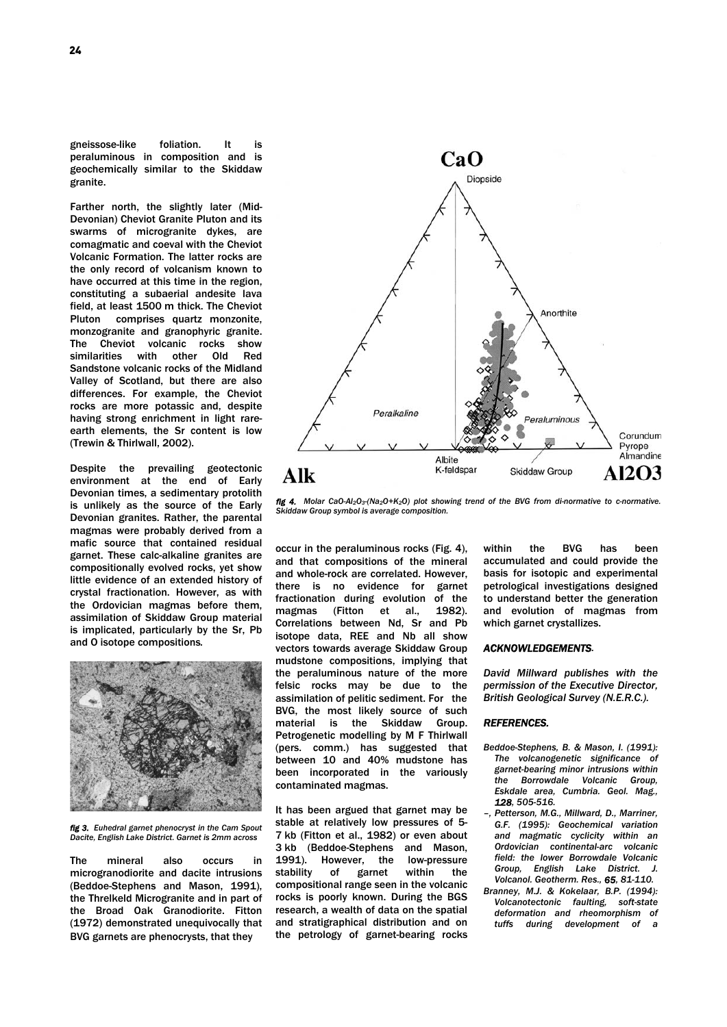gneissose-like foliation. It is peraluminous in composition and is geochemically similar to the Skiddaw granite.

Farther north, the slightly later (Mid-Devonian) Cheviot Granite Pluton and its swarms of microgranite dykes, are comagmatic and coeval with the Cheviot Volcanic Formation. The latter rocks are the only record of volcanism known to have occurred at this time in the region, constituting a subaerial andesite lava field, at least 1500 m thick. The Cheviot Pluton comprises quartz monzonite, monzogranite and granophyric granite. The Cheviot volcanic rocks show similarities with other Old Red Sandstone volcanic rocks of the Midland Valley of Scotland, but there are also differences. For example, the Cheviot rocks are more potassic and, despite having strong enrichment in light rareearth elements, the Sr content is low (Trewin & Thirlwall, 2002).

Despite the prevailing geotectonic environment at the end of Early Devonian times, a sedimentary protolith is unlikely as the source of the Early Devonian granites. Rather, the parental magmas were probably derived from a mafic source that contained residual garnet. These calc-alkaline granites are compositionally evolved rocks, yet show little evidence of an extended history of crystal fractionation. However, as with the Ordovician magmas before them, assimilation of Skiddaw Group material is implicated, particularly by the Sr, Pb and O isotope compositions*.* 



*fig 3. Euhedral garnet phenocryst in the Cam Spout Dacite, English Lake District. Garnet is 2mm across*

The mineral also occurs in microgranodiorite and dacite intrusions (Beddoe-Stephens and Mason, 1991), the Threlkeld Microgranite and in part of the Broad Oak Granodiorite. Fitton (1972) demonstrated unequivocally that BVG garnets are phenocrysts, that they



*fig 4. Molar CaO-Al2O3-(Na2O+K2O) plot showing trend of the BVG from di-normative to c-normative. Skiddaw Group symbol is average composition.* 

occur in the peraluminous rocks (Fig. 4), and that compositions of the mineral and whole-rock are correlated. However, there is no evidence for garnet fractionation during evolution of the magmas (Fitton et al., 1982). Correlations between Nd, Sr and Pb isotope data, REE and Nb all show vectors towards average Skiddaw Group mudstone compositions, implying that the peraluminous nature of the more felsic rocks may be due to the assimilation of pelitic sediment. For the BVG, the most likely source of such material is the Skiddaw Group. Petrogenetic modelling by M F Thirlwall (pers. comm.) has suggested that between 10 and 40% mudstone has been incorporated in the variously contaminated magmas.

It has been argued that garnet may be stable at relatively low pressures of 5- 7 kb (Fitton et al., 1982) or even about 3 kb (Beddoe-Stephens and Mason, 1991). However, the low-pressure stability of garnet within the compositional range seen in the volcanic rocks is poorly known. During the BGS research, a wealth of data on the spatial and stratigraphical distribution and on the petrology of garnet-bearing rocks within the BVG has been accumulated and could provide the basis for isotopic and experimental petrological investigations designed to understand better the generation and evolution of magmas from which garnet crystallizes.

## *ACKNOWLEDGEMENTS.*

*David Millward publishes with the permission of the Executive Director, British Geological Survey (N.E.R.C.).* 

#### *REFERENCES.*

- *Beddoe-Stephens, B. & Mason, I. (1991): The volcanogenetic significance of garnet-bearing minor intrusions within the Borrowdale Volcanic Group, Eskdale area, Cumbria. Geol. Mag., 128, 505-516.*
- *–, Petterson, M.G., Millward, D., Marriner, G.F. (1995): Geochemical variation and magmatic cyclicity within an Ordovician continental-arc volcanic field: the lower Borrowdale Volcanic Group, English Lake District. J. Volcanol. Geotherm. Res., 65, 81-110.*
- *Branney, M.J. & Kokelaar, B.P. (1994): Volcanotectonic faulting, soft-state deformation and rheomorphism of tuffs during development of a*